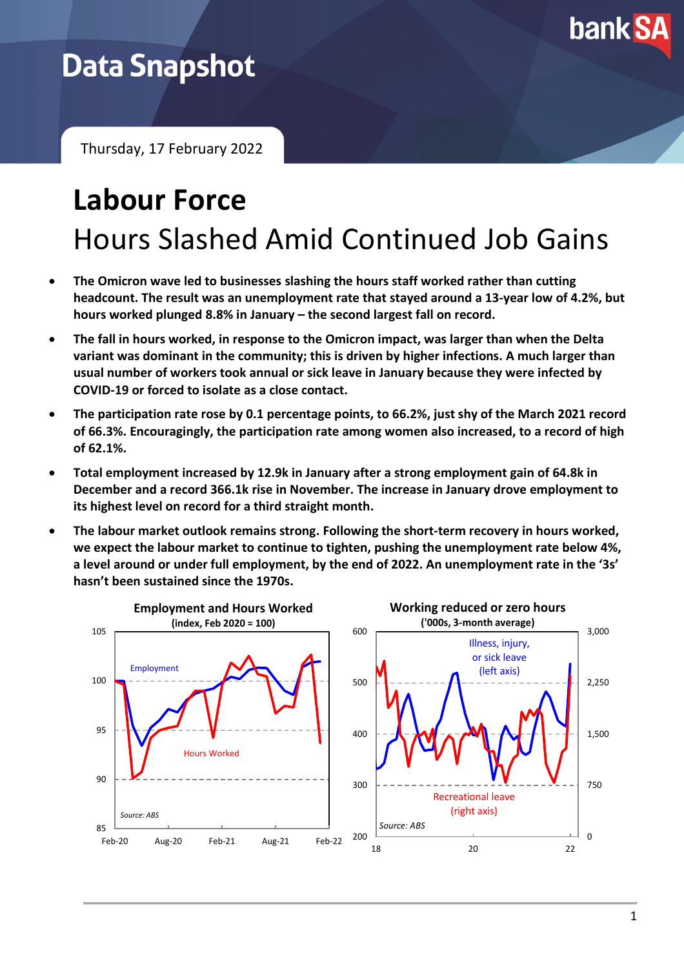

## **Data Snapshot**

Thursday, 17 February 2022

# **Labour Force** Hours Slashed Amid Continued Job Gains

- **The Omicron wave led to businesses slashing the hours staff worked rather than cutting headcount. The result was an unemployment rate that stayed around a 13-year low of 4.2%, but hours worked plunged 8.8% in January – the second largest fall on record.**
- **The fall in hours worked, in response to the Omicron impact, was larger than when the Delta variant was dominant in the community; this is driven by higher infections. A much larger than usual number of workers took annual or sick leave in January because they were infected by COVID-19 or forced to isolate as a close contact.**
- **The participation rate rose by 0.1 percentage points, to 66.2%, just shy of the March 2021 record of 66.3%. Encouragingly, the participation rate among women also increased, to a record of high of 62.1%.**
- **Total employment increased by 12.9k in January after a strong employment gain of 64.8k in December and a record 366.1k rise in November. The increase in January drove employment to its highest level on record for a third straight month.**
- **The labour market outlook remains strong. Following the short-term recovery in hours worked, we expect the labour market to continue to tighten, pushing the unemployment rate below 4%, a level around or under full employment, by the end of 2022. An unemployment rate in the '3s' hasn't been sustained since the 1970s.**

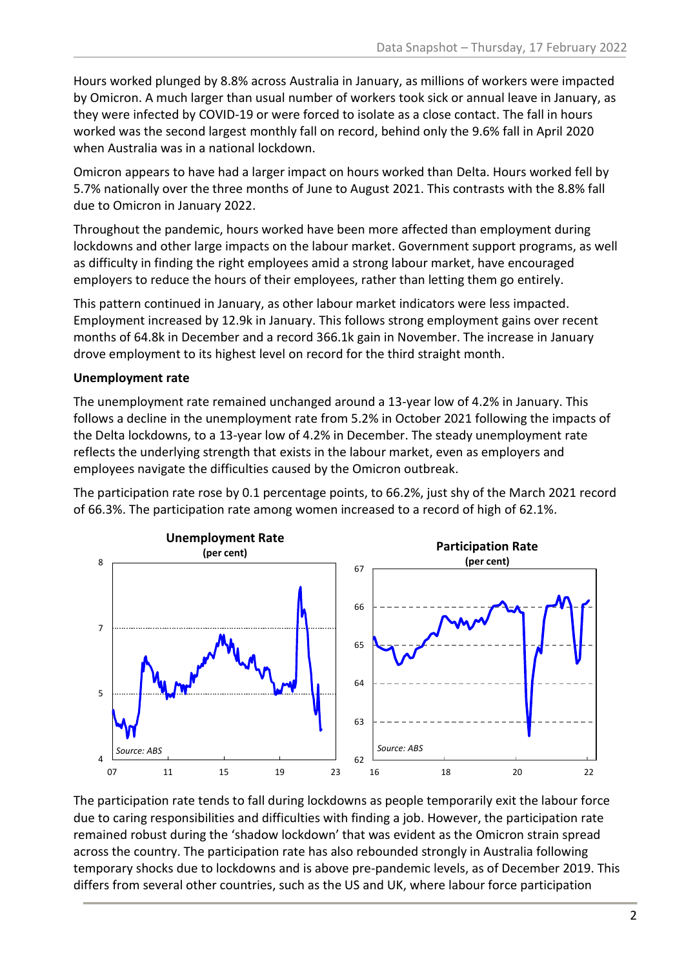Hours worked plunged by 8.8% across Australia in January, as millions of workers were impacted by Omicron. A much larger than usual number of workers took sick or annual leave in January, as they were infected by COVID-19 or were forced to isolate as a close contact. The fall in hours worked was the second largest monthly fall on record, behind only the 9.6% fall in April 2020 when Australia was in a national lockdown.

Omicron appears to have had a larger impact on hours worked than Delta. Hours worked fell by 5.7% nationally over the three months of June to August 2021. This contrasts with the 8.8% fall due to Omicron in January 2022.

Throughout the pandemic, hours worked have been more affected than employment during lockdowns and other large impacts on the labour market. Government support programs, as well as difficulty in finding the right employees amid a strong labour market, have encouraged employers to reduce the hours of their employees, rather than letting them go entirely.

This pattern continued in January, as other labour market indicators were less impacted. Employment increased by 12.9k in January. This follows strong employment gains over recent months of 64.8k in December and a record 366.1k gain in November. The increase in January drove employment to its highest level on record for the third straight month.

#### **Unemployment rate**

The unemployment rate remained unchanged around a 13-year low of 4.2% in January. This follows a decline in the unemployment rate from 5.2% in October 2021 following the impacts of the Delta lockdowns, to a 13-year low of 4.2% in December. The steady unemployment rate reflects the underlying strength that exists in the labour market, even as employers and employees navigate the difficulties caused by the Omicron outbreak.

The participation rate rose by 0.1 percentage points, to 66.2%, just shy of the March 2021 record of 66.3%. The participation rate among women increased to a record of high of 62.1%.



The participation rate tends to fall during lockdowns as people temporarily exit the labour force due to caring responsibilities and difficulties with finding a job. However, the participation rate remained robust during the 'shadow lockdown' that was evident as the Omicron strain spread across the country. The participation rate has also rebounded strongly in Australia following temporary shocks due to lockdowns and is above pre-pandemic levels, as of December 2019. This differs from several other countries, such as the US and UK, where labour force participation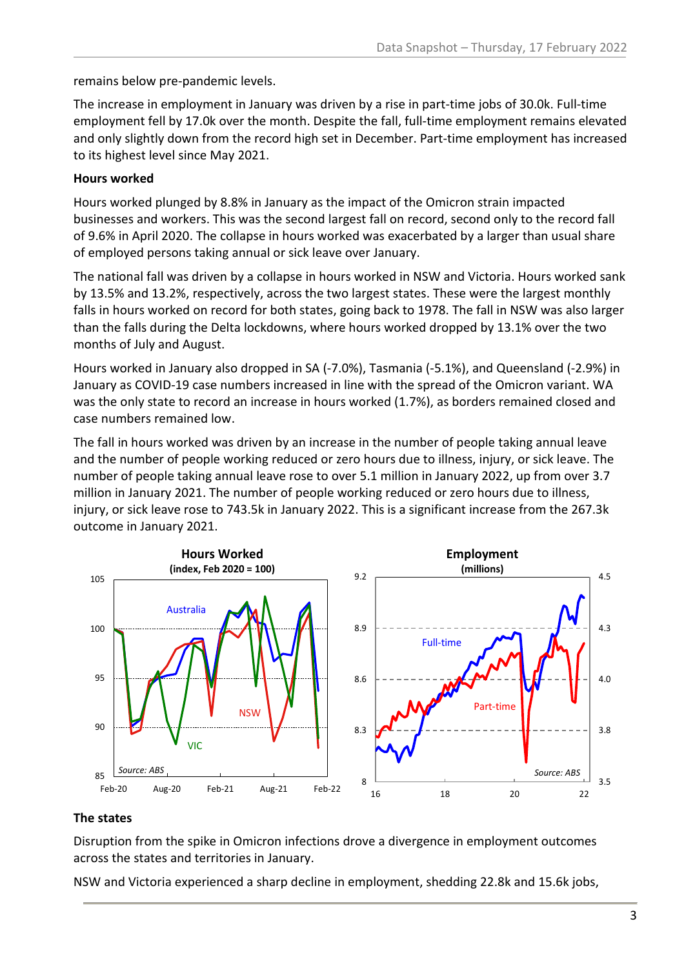remains below pre-pandemic levels.

The increase in employment in January was driven by a rise in part-time jobs of 30.0k. Full-time employment fell by 17.0k over the month. Despite the fall, full-time employment remains elevated and only slightly down from the record high set in December. Part-time employment has increased to its highest level since May 2021.

#### **Hours worked**

Hours worked plunged by 8.8% in January as the impact of the Omicron strain impacted businesses and workers. This was the second largest fall on record, second only to the record fall of 9.6% in April 2020. The collapse in hours worked was exacerbated by a larger than usual share of employed persons taking annual or sick leave over January.

The national fall was driven by a collapse in hours worked in NSW and Victoria. Hours worked sank by 13.5% and 13.2%, respectively, across the two largest states. These were the largest monthly falls in hours worked on record for both states, going back to 1978. The fall in NSW was also larger than the falls during the Delta lockdowns, where hours worked dropped by 13.1% over the two months of July and August.

Hours worked in January also dropped in SA (-7.0%), Tasmania (-5.1%), and Queensland (-2.9%) in January as COVID-19 case numbers increased in line with the spread of the Omicron variant. WA was the only state to record an increase in hours worked (1.7%), as borders remained closed and case numbers remained low.

The fall in hours worked was driven by an increase in the number of people taking annual leave and the number of people working reduced or zero hours due to illness, injury, or sick leave. The number of people taking annual leave rose to over 5.1 million in January 2022, up from over 3.7 million in January 2021. The number of people working reduced or zero hours due to illness, injury, or sick leave rose to 743.5k in January 2022. This is a significant increase from the 267.3k outcome in January 2021.



#### **The states**

Disruption from the spike in Omicron infections drove a divergence in employment outcomes across the states and territories in January.

NSW and Victoria experienced a sharp decline in employment, shedding 22.8k and 15.6k jobs,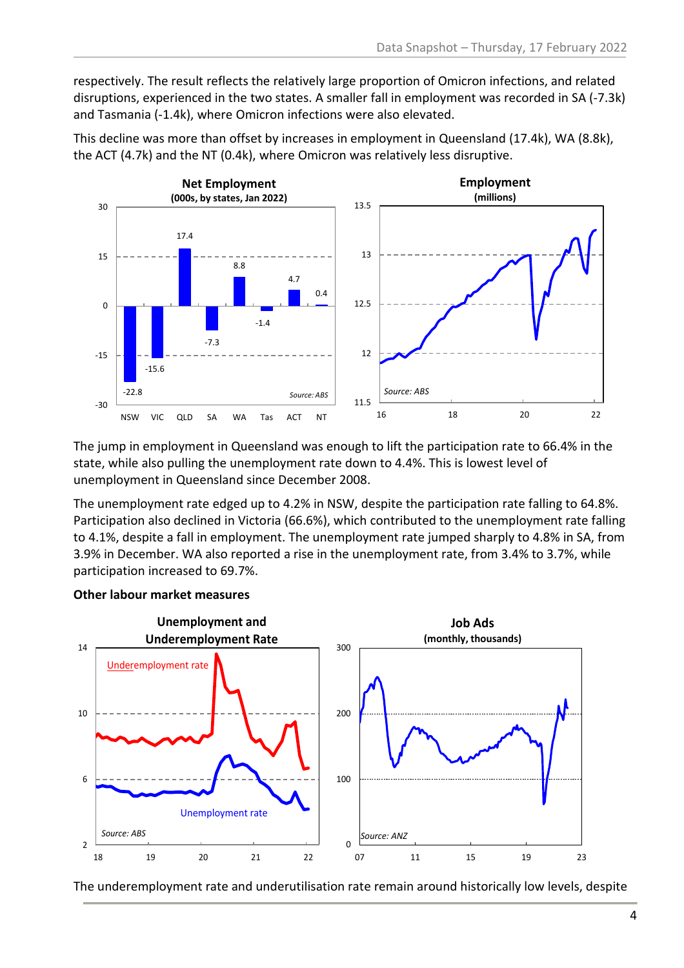respectively. The result reflects the relatively large proportion of Omicron infections, and related disruptions, experienced in the two states. A smaller fall in employment was recorded in SA (-7.3k) and Tasmania (-1.4k), where Omicron infections were also elevated.



This decline was more than offset by increases in employment in Queensland (17.4k), WA (8.8k), the ACT (4.7k) and the NT (0.4k), where Omicron was relatively less disruptive.

The jump in employment in Queensland was enough to lift the participation rate to 66.4% in the state, while also pulling the unemployment rate down to 4.4%. This is lowest level of unemployment in Queensland since December 2008.

The unemployment rate edged up to 4.2% in NSW, despite the participation rate falling to 64.8%. Participation also declined in Victoria (66.6%), which contributed to the unemployment rate falling to 4.1%, despite a fall in employment. The unemployment rate jumped sharply to 4.8% in SA, from 3.9% in December. WA also reported a rise in the unemployment rate, from 3.4% to 3.7%, while participation increased to 69.7%.

#### **Other labour market measures**



The underemployment rate and underutilisation rate remain around historically low levels, despite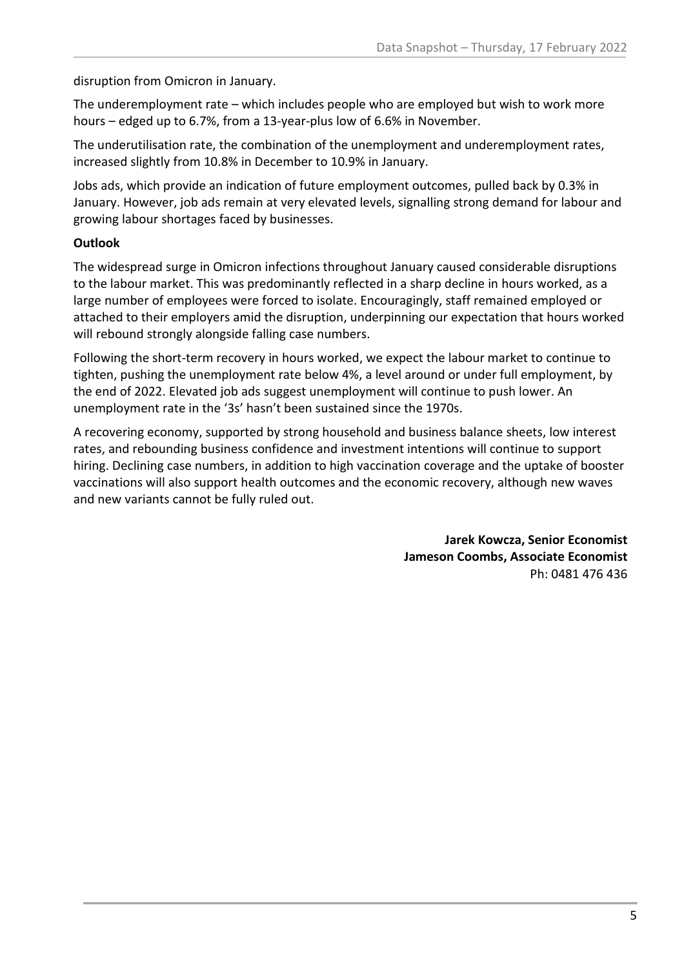disruption from Omicron in January.

The underemployment rate – which includes people who are employed but wish to work more hours – edged up to 6.7%, from a 13-year-plus low of 6.6% in November.

The underutilisation rate, the combination of the unemployment and underemployment rates, increased slightly from 10.8% in December to 10.9% in January.

Jobs ads, which provide an indication of future employment outcomes, pulled back by 0.3% in January. However, job ads remain at very elevated levels, signalling strong demand for labour and growing labour shortages faced by businesses.

#### **Outlook**

The widespread surge in Omicron infections throughout January caused considerable disruptions to the labour market. This was predominantly reflected in a sharp decline in hours worked, as a large number of employees were forced to isolate. Encouragingly, staff remained employed or attached to their employers amid the disruption, underpinning our expectation that hours worked will rebound strongly alongside falling case numbers.

Following the short-term recovery in hours worked, we expect the labour market to continue to tighten, pushing the unemployment rate below 4%, a level around or under full employment, by the end of 2022. Elevated job ads suggest unemployment will continue to push lower. An unemployment rate in the '3s' hasn't been sustained since the 1970s.

A recovering economy, supported by strong household and business balance sheets, low interest rates, and rebounding business confidence and investment intentions will continue to support hiring. Declining case numbers, in addition to high vaccination coverage and the uptake of booster vaccinations will also support health outcomes and the economic recovery, although new waves and new variants cannot be fully ruled out.

> **Jarek Kowcza, Senior Economist Jameson Coombs, Associate Economist** Ph: 0481 476 436